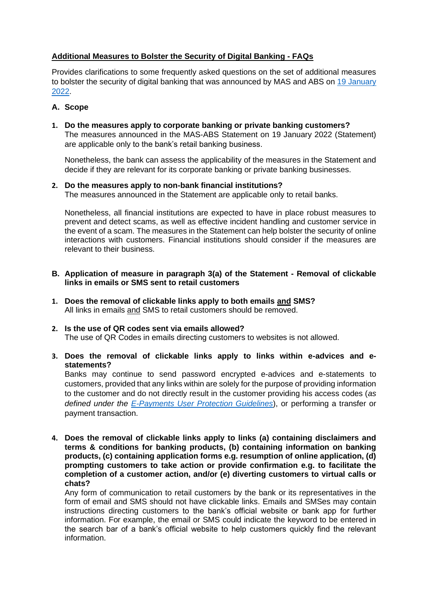## **Additional Measures to Bolster the Security of Digital Banking - FAQs**

Provides clarifications to some frequently asked questions on the set of additional measures to bolster the security of digital banking that was announced by MAS and ABS on [19 January](https://www.mas.gov.sg/news/media-releases/2022/mas-and-abs-announce-measures-to-bolster-the-security-of-digital-banking)  [2022.](https://www.mas.gov.sg/news/media-releases/2022/mas-and-abs-announce-measures-to-bolster-the-security-of-digital-banking)

## **A. Scope**

**1. Do the measures apply to corporate banking or private banking customers?** The measures announced in the MAS-ABS Statement on 19 January 2022 (Statement) are applicable only to the bank's retail banking business.

Nonetheless, the bank can assess the applicability of the measures in the Statement and decide if they are relevant for its corporate banking or private banking businesses.

## **2. Do the measures apply to non-bank financial institutions?**

The measures announced in the Statement are applicable only to retail banks.

Nonetheless, all financial institutions are expected to have in place robust measures to prevent and detect scams, as well as effective incident handling and customer service in the event of a scam. The measures in the Statement can help bolster the security of online interactions with customers. Financial institutions should consider if the measures are relevant to their business.

- **B. Application of measure in paragraph 3(a) of the Statement - Removal of clickable links in emails or SMS sent to retail customers**
- **1. Does the removal of clickable links apply to both emails and SMS?** All links in emails and SMS to retail customers should be removed.
- **2. Is the use of QR codes sent via emails allowed?** The use of QR Codes in emails directing customers to websites is not allowed.
- **3. Does the removal of clickable links apply to links within e-advices and estatements?**

Banks may continue to send password encrypted e-advices and e-statements to customers, provided that any links within are solely for the purpose of providing information to the customer and do not directly result in the customer providing his access codes (*as defined under the [E-Payments User Protection Guidelines](https://www.mas.gov.sg/regulation/guidelines/guidelines-for-e-payments-user-protection)*), or performing a transfer or payment transaction.

**4. Does the removal of clickable links apply to links (a) containing disclaimers and terms & conditions for banking products, (b) containing information on banking products, (c) containing application forms e.g. resumption of online application, (d) prompting customers to take action or provide confirmation e.g. to facilitate the completion of a customer action, and/or (e) diverting customers to virtual calls or chats?**

Any form of communication to retail customers by the bank or its representatives in the form of email and SMS should not have clickable links. Emails and SMSes may contain instructions directing customers to the bank's official website or bank app for further information. For example, the email or SMS could indicate the keyword to be entered in the search bar of a bank's official website to help customers quickly find the relevant information.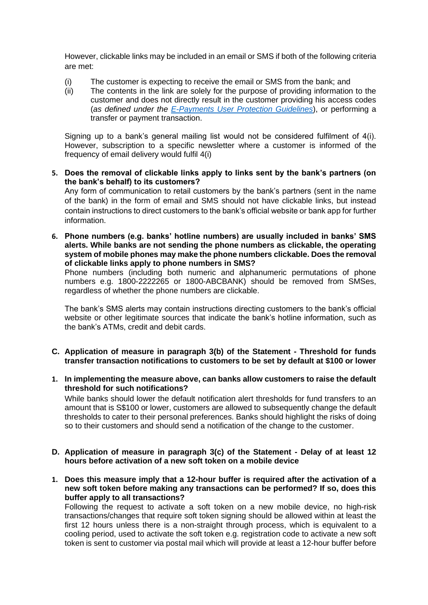However, clickable links may be included in an email or SMS if both of the following criteria are met:

- (i) The customer is expecting to receive the email or SMS from the bank; and
- (ii) The contents in the link are solely for the purpose of providing information to the customer and does not directly result in the customer providing his access codes (*as defined under the [E-Payments User Protection Guidelines](https://www.mas.gov.sg/regulation/guidelines/guidelines-for-e-payments-user-protection)*), or performing a transfer or payment transaction.

Signing up to a bank's general mailing list would not be considered fulfilment of 4(i). However, subscription to a specific newsletter where a customer is informed of the frequency of email delivery would fulfil 4(i)

**5. Does the removal of clickable links apply to links sent by the bank's partners (on the bank's behalf) to its customers?**

Any form of communication to retail customers by the bank's partners (sent in the name of the bank) in the form of email and SMS should not have clickable links, but instead contain instructions to direct customers to the bank's official website or bank app for further information.

**6. Phone numbers (e.g. banks' hotline numbers) are usually included in banks' SMS alerts. While banks are not sending the phone numbers as clickable, the operating system of mobile phones may make the phone numbers clickable. Does the removal of clickable links apply to phone numbers in SMS?**

Phone numbers (including both numeric and alphanumeric permutations of phone numbers e.g. 1800-2222265 or 1800-ABCBANK) should be removed from SMSes, regardless of whether the phone numbers are clickable.

The bank's SMS alerts may contain instructions directing customers to the bank's official website or other legitimate sources that indicate the bank's hotline information, such as the bank's ATMs, credit and debit cards.

- **C. Application of measure in paragraph 3(b) of the Statement - Threshold for funds transfer transaction notifications to customers to be set by default at \$100 or lower**
- **1. In implementing the measure above, can banks allow customers to raise the default threshold for such notifications?**

While banks should lower the default notification alert thresholds for fund transfers to an amount that is S\$100 or lower, customers are allowed to subsequently change the default thresholds to cater to their personal preferences. Banks should highlight the risks of doing so to their customers and should send a notification of the change to the customer.

- **D. Application of measure in paragraph 3(c) of the Statement - Delay of at least 12 hours before activation of a new soft token on a mobile device**
- **1. Does this measure imply that a 12-hour buffer is required after the activation of a new soft token before making any transactions can be performed? If so, does this buffer apply to all transactions?**

Following the request to activate a soft token on a new mobile device, no high-risk transactions/changes that require soft token signing should be allowed within at least the first 12 hours unless there is a non-straight through process, which is equivalent to a cooling period, used to activate the soft token e.g. registration code to activate a new soft token is sent to customer via postal mail which will provide at least a 12-hour buffer before